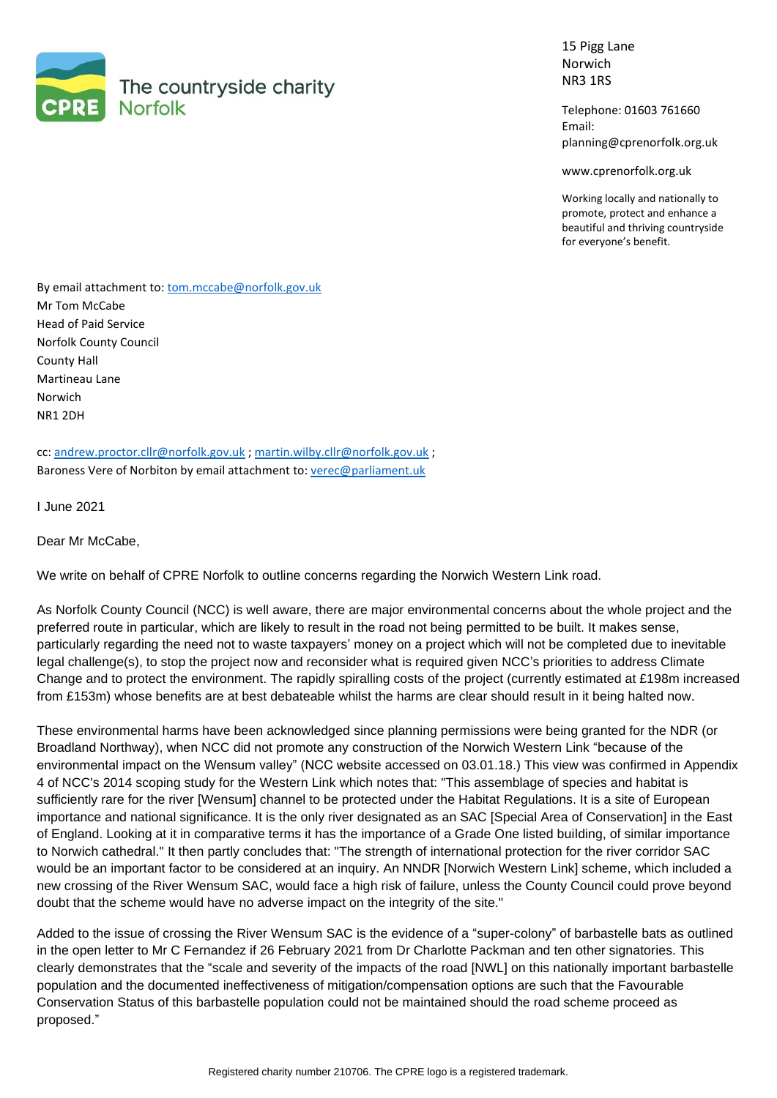

15 Pigg Lane Norwich NR3 1RS

Telephone: 01603 761660 Email: planning@cprenorfolk.org.uk

www.cprenorfolk.org.uk

Working locally and nationally to promote, protect and enhance a beautiful and thriving countryside for everyone's benefit.

By email attachment to[: tom.mccabe@norfolk.gov.uk](mailto:tom.mccabe@norfolk.gov.uk) Mr Tom McCabe Head of Paid Service Norfolk County Council County Hall Martineau Lane Norwich NR1 2DH

cc: [andrew.proctor.cllr@norfolk.gov.uk](mailto:andrew.proctor.cllr@norfolk.gov.uk) ; [martin.wilby.cllr@norfolk.gov.uk](mailto:martin.wilby.cllr@norfolk.gov.uk) ; Baroness Vere of Norbiton by email attachment to: [verec@parliament.uk](mailto:verec@parliament.uk)

I June 2021

Dear Mr McCabe,

We write on behalf of CPRE Norfolk to outline concerns regarding the Norwich Western Link road.

As Norfolk County Council (NCC) is well aware, there are major environmental concerns about the whole project and the preferred route in particular, which are likely to result in the road not being permitted to be built. It makes sense, particularly regarding the need not to waste taxpayers' money on a project which will not be completed due to inevitable legal challenge(s), to stop the project now and reconsider what is required given NCC's priorities to address Climate Change and to protect the environment. The rapidly spiralling costs of the project (currently estimated at £198m increased from £153m) whose benefits are at best debateable whilst the harms are clear should result in it being halted now.

These environmental harms have been acknowledged since planning permissions were being granted for the NDR (or Broadland Northway), when NCC did not promote any construction of the Norwich Western Link "because of the environmental impact on the Wensum valley" (NCC website accessed on 03.01.18.) This view was confirmed in Appendix 4 of NCC's 2014 scoping study for the Western Link which notes that: "This assemblage of species and habitat is sufficiently rare for the river [Wensum] channel to be protected under the Habitat Regulations. It is a site of European importance and national significance. It is the only river designated as an SAC [Special Area of Conservation] in the East of England. Looking at it in comparative terms it has the importance of a Grade One listed building, of similar importance to Norwich cathedral." It then partly concludes that: "The strength of international protection for the river corridor SAC would be an important factor to be considered at an inquiry. An NNDR [Norwich Western Link] scheme, which included a new crossing of the River Wensum SAC, would face a high risk of failure, unless the County Council could prove beyond doubt that the scheme would have no adverse impact on the integrity of the site."

Added to the issue of crossing the River Wensum SAC is the evidence of a "super-colony" of barbastelle bats as outlined in the open letter to Mr C Fernandez if 26 February 2021 from Dr Charlotte Packman and ten other signatories. This clearly demonstrates that the "scale and severity of the impacts of the road [NWL] on this nationally important barbastelle population and the documented ineffectiveness of mitigation/compensation options are such that the Favourable Conservation Status of this barbastelle population could not be maintained should the road scheme proceed as proposed."